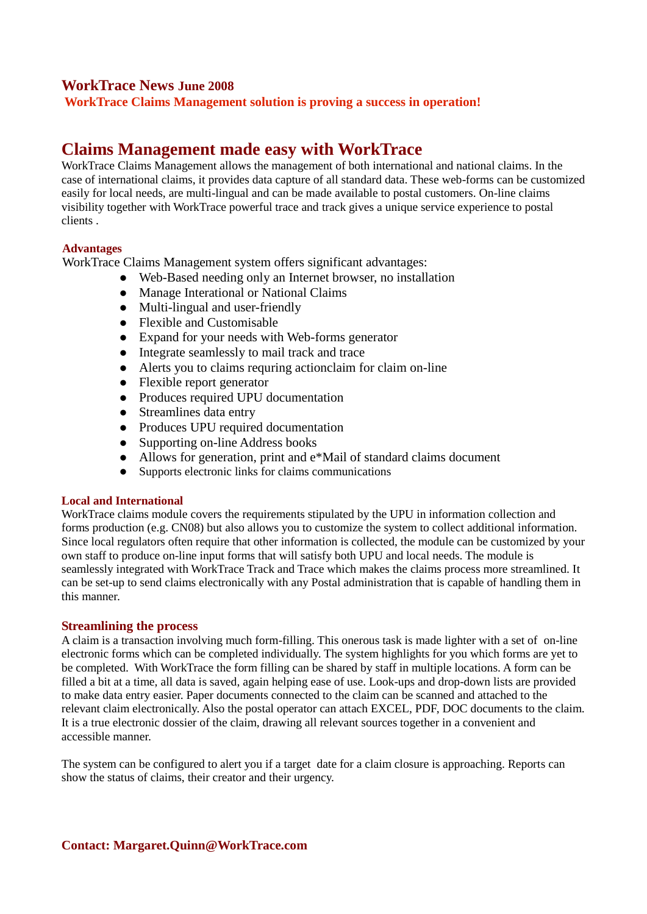### **WorkTrace News June 2008**

**WorkTrace Claims Management solution is proving a success in operation!**

# **Claims Management made easy with WorkTrace**

WorkTrace Claims Management allows the management of both international and national claims. In the case of international claims, it provides data capture of all standard data. These web-forms can be customized easily for local needs, are multi-lingual and can be made available to postal customers. On-line claims visibility together with WorkTrace powerful trace and track gives a unique service experience to postal clients .

#### **Advantages**

WorkTrace Claims Management system offers significant advantages:

- Web-Based needing only an Internet browser, no installation
- Manage Interational or National Claims
- Multi-lingual and user-friendly
- Flexible and Customisable
- Expand for your needs with Web-forms generator
- Integrate seamlessly to mail track and trace
- Alerts you to claims requring actionclaim for claim on-line
- Flexible report generator
- Produces required UPU documentation
- Streamlines data entry
- Produces UPU required documentation
- Supporting on-line Address books
- Allows for generation, print and e\*Mail of standard claims document
- Supports electronic links for claims communications

#### **Local and International**

WorkTrace claims module covers the requirements stipulated by the UPU in information collection and forms production (e.g. CN08) but also allows you to customize the system to collect additional information. Since local regulators often require that other information is collected, the module can be customized by your own staff to produce on-line input forms that will satisfy both UPU and local needs. The module is seamlessly integrated with WorkTrace Track and Trace which makes the claims process more streamlined. It can be set-up to send claims electronically with any Postal administration that is capable of handling them in this manner.

#### **Streamlining the process**

A claim is a transaction involving much form-filling. This onerous task is made lighter with a set of on-line electronic forms which can be completed individually. The system highlights for you which forms are yet to be completed. With WorkTrace the form filling can be shared by staff in multiple locations. A form can be filled a bit at a time, all data is saved, again helping ease of use. Look-ups and drop-down lists are provided to make data entry easier. Paper documents connected to the claim can be scanned and attached to the relevant claim electronically. Also the postal operator can attach EXCEL, PDF, DOC documents to the claim. It is a true electronic dossier of the claim, drawing all relevant sources together in a convenient and accessible manner.

The system can be configured to alert you if a target date for a claim closure is approaching. Reports can show the status of claims, their creator and their urgency.